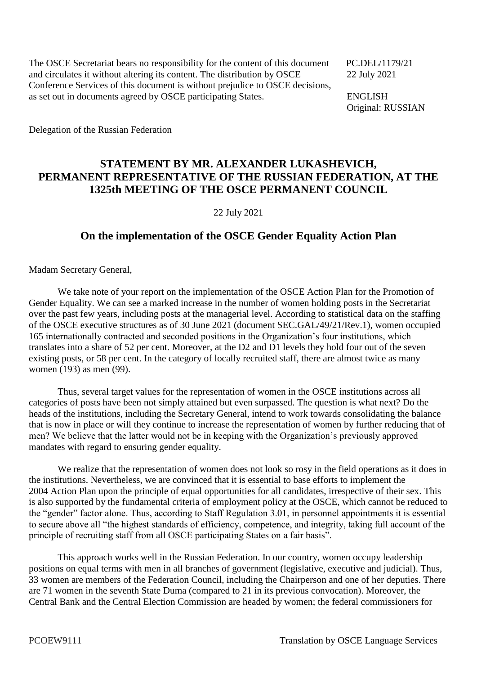The OSCE Secretariat bears no responsibility for the content of this document PC.DEL/1179/21 and circulates it without altering its content. The distribution by OSCE 22 July 2021 Conference Services of this document is without prejudice to OSCE decisions, as set out in documents agreed by OSCE participating States. ENGLISH

Original: RUSSIAN

Delegation of the Russian Federation

## **STATEMENT BY MR. ALEXANDER LUKASHEVICH, PERMANENT REPRESENTATIVE OF THE RUSSIAN FEDERATION, AT THE 1325th MEETING OF THE OSCE PERMANENT COUNCIL**

22 July 2021

## **On the implementation of the OSCE Gender Equality Action Plan**

Madam Secretary General,

We take note of your report on the implementation of the OSCE Action Plan for the Promotion of Gender Equality. We can see a marked increase in the number of women holding posts in the Secretariat over the past few years, including posts at the managerial level. According to statistical data on the staffing of the OSCE executive structures as of 30 June 2021 (document SEC.GAL/49/21/Rev.1), women occupied 165 internationally contracted and seconded positions in the Organization's four institutions, which translates into a share of 52 per cent. Moreover, at the D2 and D1 levels they hold four out of the seven existing posts, or 58 per cent. In the category of locally recruited staff, there are almost twice as many women (193) as men (99).

Thus, several target values for the representation of women in the OSCE institutions across all categories of posts have been not simply attained but even surpassed. The question is what next? Do the heads of the institutions, including the Secretary General, intend to work towards consolidating the balance that is now in place or will they continue to increase the representation of women by further reducing that of men? We believe that the latter would not be in keeping with the Organization's previously approved mandates with regard to ensuring gender equality.

We realize that the representation of women does not look so rosy in the field operations as it does in the institutions. Nevertheless, we are convinced that it is essential to base efforts to implement the 2004 Action Plan upon the principle of equal opportunities for all candidates, irrespective of their sex. This is also supported by the fundamental criteria of employment policy at the OSCE, which cannot be reduced to the "gender" factor alone. Thus, according to Staff Regulation 3.01, in personnel appointments it is essential to secure above all "the highest standards of efficiency, competence, and integrity, taking full account of the principle of recruiting staff from all OSCE participating States on a fair basis".

This approach works well in the Russian Federation. In our country, women occupy leadership positions on equal terms with men in all branches of government (legislative, executive and judicial). Thus, 33 women are members of the Federation Council, including the Chairperson and one of her deputies. There are 71 women in the seventh State Duma (compared to 21 in its previous convocation). Moreover, the Central Bank and the Central Election Commission are headed by women; the federal commissioners for